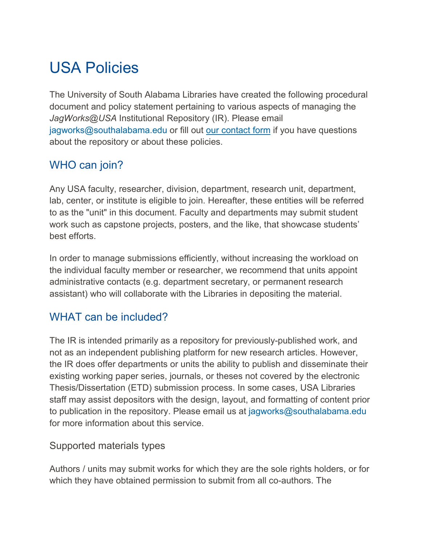# USA Policies

The University of South Alabama Libraries have created the following procedural document and policy statement pertaining to various aspects of managing the *JagWorks@USA* Institutional Repository (IR). Please email jagworks@southalabama.edu or fill out [our contact form](https://www.southalabama.edu/departments/library/jagworks.html) if you have questions about the repository or about these policies.

# WHO can join?

Any USA faculty, researcher, division, department, research unit, department, lab, center, or institute is eligible to join. Hereafter, these entities will be referred to as the "unit" in this document. Faculty and departments may submit student work such as capstone projects, posters, and the like, that showcase students' best efforts.

In order to manage submissions efficiently, without increasing the workload on the individual faculty member or researcher, we recommend that units appoint administrative contacts (e.g. department secretary, or permanent research assistant) who will collaborate with the Libraries in depositing the material.

# WHAT can be included?

The IR is intended primarily as a repository for previously-published work, and not as an independent publishing platform for new research articles. However, the IR does offer departments or units the ability to publish and disseminate their existing working paper series, journals, or theses not covered by the electronic Thesis/Dissertation (ETD) submission process. In some cases, USA Libraries staff may assist depositors with the design, layout, and formatting of content prior to publication in the repository. Please email us at jagworks@southalabama.edu for more information about this service.

#### Supported materials types

Authors / units may submit works for which they are the sole rights holders, or for which they have obtained permission to submit from all co-authors. The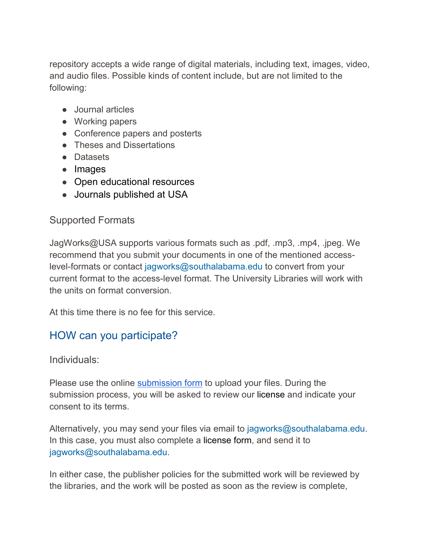repository accepts a wide range of digital materials, including text, images, video, and audio files. Possible kinds of content include, but are not limited to the following:

- Journal articles
- Working papers
- Conference papers and posterts
- Theses and Dissertations
- Datasets
- Images
- Open educational resources
- Journals published at USA

### Supported Formats

JagWorks@USA supports various formats such as .pdf, .mp3, .mp4, .jpeg. We recommend that you submit your documents in one of the mentioned accesslevel-formats or contact jagworks@southalabama.edu to convert from your current format to the access-level format. The University Libraries will work with the units on format conversion.

At this time there is no fee for this service.

# HOW can you participate?

Individuals:

Please use the online [submission form](https://jagworks.southalabama.edu/submit_research.html) to upload your files. During the submission process, you will be asked to review our license and indicate your consent to its terms.

Alternatively, you may send your files via email to jagworks@southalabama.edu. In this case, you must also complete a license form, and send it to jagworks@southalabama.edu.

In either case, the publisher policies for the submitted work will be reviewed by the libraries, and the work will be posted as soon as the review is complete,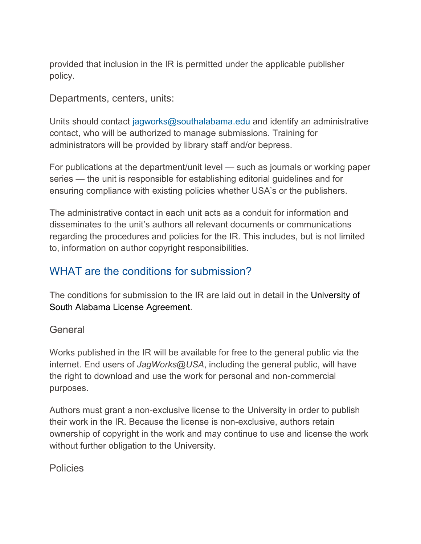provided that inclusion in the IR is permitted under the applicable publisher policy.

Departments, centers, units:

Units should contact jagworks@southalabama.edu and identify an administrative contact, who will be authorized to manage submissions. Training for administrators will be provided by library staff and/or bepress.

For publications at the department/unit level — such as journals or working paper series — the unit is responsible for establishing editorial guidelines and for ensuring compliance with existing policies whether USA's or the publishers.

The administrative contact in each unit acts as a conduit for information and disseminates to the unit's authors all relevant documents or communications regarding the procedures and policies for the IR. This includes, but is not limited to, information on author copyright responsibilities.

## WHAT are the conditions for submission?

The conditions for submission to the IR are laid out in detail in the [University of](https://www.library.georgetown.edu/sites/default/files/DG_License_June_2016_0.pdf)  [South Alabama L](https://www.library.georgetown.edu/sites/default/files/DG_License_June_2016_0.pdf)icense Agreement.

#### **General**

Works published in the IR will be available for free to the general public via the internet. End users of *JagWorks@USA*, including the general public, will have the right to download and use the work for personal and non-commercial purposes.

Authors must grant a non-exclusive license to the University in order to publish their work in the IR. Because the license is non-exclusive, authors retain ownership of copyright in the work and may continue to use and license the work without further obligation to the University.

**Policies**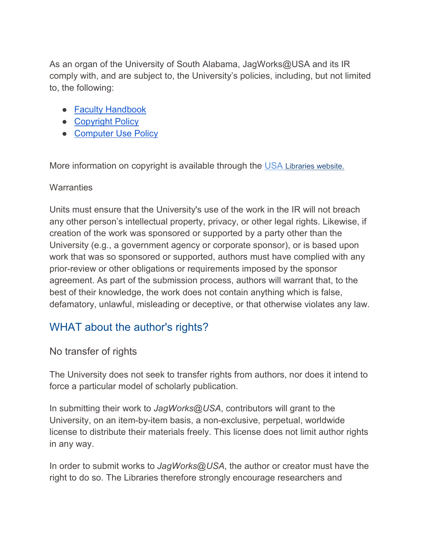As an organ of the University of South Alabama, JagWorks@USA and its IR comply with, and are subject to, the University's policies, including, but not limited to, the following:

- [Faculty Handbook](https://www.southalabama.edu/departments/academicaffairs/resources/faculty-handbook-feb-2020.pdf)
- [Copyright](https://www.southalabama.edu/departments/research/resources/copyrightpolicy.pdf) Policy
- [Computer Use Policy](https://www.southalabama.edu/departments/csc/computerusepolicy.html)

More information on copyright is available through the USA Libraries website.

#### **Warranties**

Units must ensure that the University's use of the work in the IR will not breach any other person's intellectual property, privacy, or other legal rights. Likewise, if creation of the work was sponsored or supported by a party other than the University (e.g., a government agency or corporate sponsor), or is based upon work that was so sponsored or supported, authors must have complied with any prior-review or other obligations or requirements imposed by the sponsor agreement. As part of the submission process, authors will warrant that, to the best of their knowledge, the work does not contain anything which is false, defamatory, unlawful, misleading or deceptive, or that otherwise violates any law.

# WHAT about the author's rights?

#### No transfer of rights

The University does not seek to transfer rights from authors, nor does it intend to force a particular model of scholarly publication.

In submitting their work to *JagWorks@USA*, contributors will grant to the University, on an item-by-item basis, a non-exclusive, perpetual, worldwide license to distribute their materials freely. This license does not limit author rights in any way.

In order to submit works to *JagWorks@USA*, the author or creator must have the right to do so. The Libraries therefore strongly encourage researchers and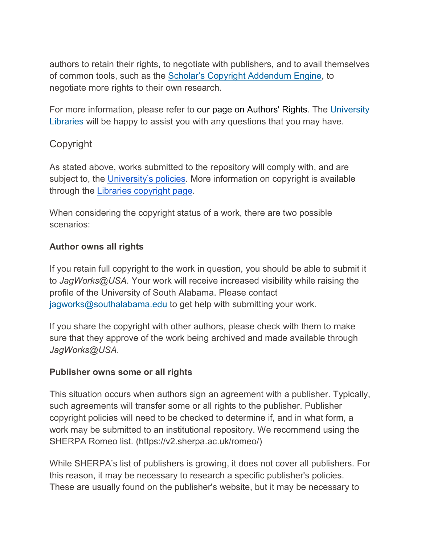authors to retain their rights, to negotiate with publishers, and to avail themselves of common tools, such as the [Scholar's Copyright Addendum Engine,](http://scholars.sciencecommons.org/) to negotiate more rights to their own research.

For more information, please refer to our page on Authors' Rights. The University Libraries will be happy to assist you with any questions that you may have.

## Copyright

As stated above, works submitted to the repository will comply with, and are subject to, the [University's policies.](https://www.southalabama.edu/departments/financialaffairs/hr/policies.html) More information on copyright is available through the Libraries [copyright page.](https://libguides.southalabama.edu/c.php?g=602400&p=4172364)

When considering the copyright status of a work, there are two possible scenarios:

#### **Author owns all rights**

If you retain full copyright to the work in question, you should be able to submit it to *JagWorks@USA*. Your work will receive increased visibility while raising the profile of the University of South Alabama. Please contact jagworks@southalabama.edu to get help with submitting your work.

If you share the copyright with other authors, please check with them to make sure that they approve of the work being archived and made available through *JagWorks@USA*.

#### **Publisher owns some or all rights**

This situation occurs when authors sign an agreement with a publisher. Typically, such agreements will transfer some or all rights to the publisher. Publisher copyright policies will need to be checked to determine if, and in what form, a work may be submitted to an institutional repository. We recommend using the SHERPA Romeo list. (https://v2.sherpa.ac.uk/romeo/)

While SHERPA's list of publishers is growing, it does not cover all publishers. For this reason, it may be necessary to research a specific publisher's policies. These are usually found on the publisher's website, but it may be necessary to